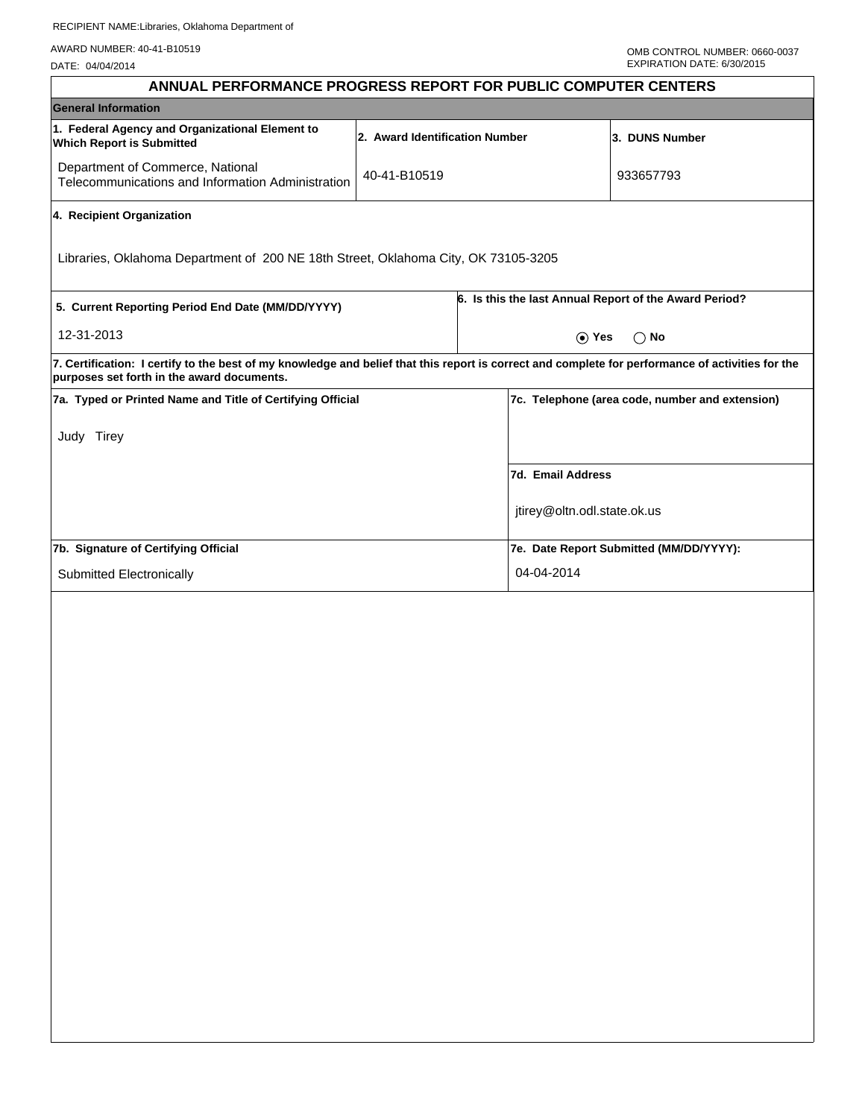AWARD NUMBER: 40-41-B10519

DATE: 04/04/2014

| ANNUAL PERFORMANCE PROGRESS REPORT FOR PUBLIC COMPUTER CENTERS                                                                                                                                  |                                |                                                        |                             |                                                 |  |
|-------------------------------------------------------------------------------------------------------------------------------------------------------------------------------------------------|--------------------------------|--------------------------------------------------------|-----------------------------|-------------------------------------------------|--|
| <b>General Information</b>                                                                                                                                                                      |                                |                                                        |                             |                                                 |  |
| 1. Federal Agency and Organizational Element to<br><b>Which Report is Submitted</b>                                                                                                             | 2. Award Identification Number |                                                        |                             | 3. DUNS Number                                  |  |
| Department of Commerce, National<br>Telecommunications and Information Administration                                                                                                           | 40-41-B10519                   |                                                        |                             | 933657793                                       |  |
| 4. Recipient Organization                                                                                                                                                                       |                                |                                                        |                             |                                                 |  |
| Libraries, Oklahoma Department of 200 NE 18th Street, Oklahoma City, OK 73105-3205                                                                                                              |                                |                                                        |                             |                                                 |  |
| 5. Current Reporting Period End Date (MM/DD/YYYY)                                                                                                                                               |                                | 6. Is this the last Annual Report of the Award Period? |                             |                                                 |  |
| 12-31-2013                                                                                                                                                                                      |                                | $\odot$ Yes<br>$\bigcirc$ No                           |                             |                                                 |  |
| 7. Certification: I certify to the best of my knowledge and belief that this report is correct and complete for performance of activities for the<br>purposes set forth in the award documents. |                                |                                                        |                             |                                                 |  |
| 7a. Typed or Printed Name and Title of Certifying Official                                                                                                                                      |                                |                                                        |                             | 7c. Telephone (area code, number and extension) |  |
| Judy Tirey                                                                                                                                                                                      |                                |                                                        |                             |                                                 |  |
|                                                                                                                                                                                                 |                                |                                                        | 7d. Email Address           |                                                 |  |
|                                                                                                                                                                                                 |                                |                                                        | jtirey@oltn.odl.state.ok.us |                                                 |  |
| 7b. Signature of Certifying Official                                                                                                                                                            |                                |                                                        |                             | 7e. Date Report Submitted (MM/DD/YYYY):         |  |
| Submitted Electronically                                                                                                                                                                        |                                |                                                        | 04-04-2014                  |                                                 |  |
|                                                                                                                                                                                                 |                                |                                                        |                             |                                                 |  |
|                                                                                                                                                                                                 |                                |                                                        |                             |                                                 |  |
|                                                                                                                                                                                                 |                                |                                                        |                             |                                                 |  |
|                                                                                                                                                                                                 |                                |                                                        |                             |                                                 |  |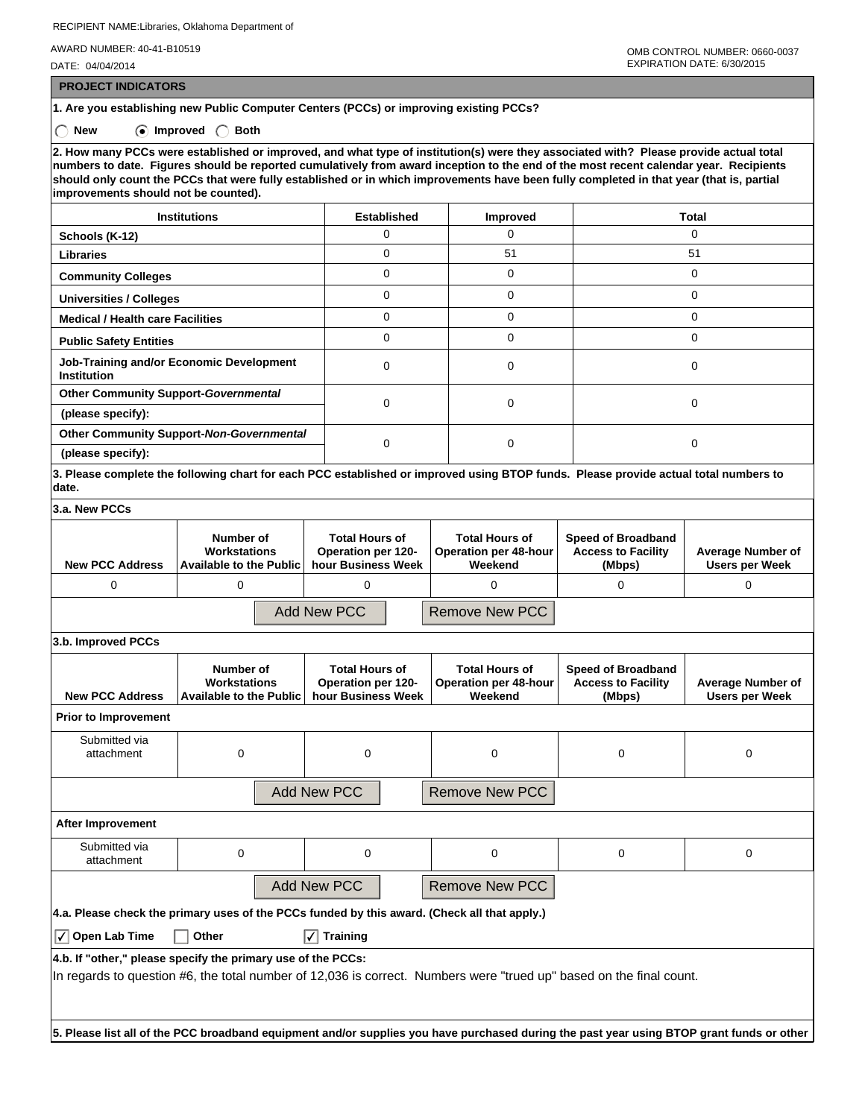RECIPIENT NAME:Libraries, Oklahoma Department of

AWARD NUMBER: 40-41-B10519

DATE: 04/04/2014

 **PROJECT INDICATORS**

**1. Are you establishing new Public Computer Centers (PCCs) or improving existing PCCs?**

 **New Improved Both**

**2. How many PCCs were established or improved, and what type of institution(s) were they associated with? Please provide actual total numbers to date. Figures should be reported cumulatively from award inception to the end of the most recent calendar year. Recipients should only count the PCCs that were fully established or in which improvements have been fully completed in that year (that is, partial improvements should not be counted).**

| <b>Institutions</b>                                            | <b>Established</b> | <b>Improved</b> | Total |  |
|----------------------------------------------------------------|--------------------|-----------------|-------|--|
| Schools (K-12)                                                 | U                  | 0               |       |  |
| <b>Libraries</b>                                               | 0                  | 51              | 51    |  |
| <b>Community Colleges</b>                                      | 0                  | $\Omega$        | 0     |  |
| <b>Universities / Colleges</b>                                 | 0                  | $\Omega$        |       |  |
| <b>Medical / Health care Facilities</b>                        | 0                  | $\Omega$        |       |  |
| <b>Public Safety Entities</b>                                  | U                  | $\Omega$        |       |  |
| Job-Training and/or Economic Development<br><b>Institution</b> | U                  | $\Omega$        |       |  |
| <b>Other Community Support-Governmental</b>                    | 0                  |                 |       |  |
| (please specify):                                              |                    | $\Omega$        |       |  |
| Other Community Support-Non-Governmental                       |                    |                 |       |  |
| (please specify):                                              |                    | $\Omega$        |       |  |

**3. Please complete the following chart for each PCC established or improved using BTOP funds. Please provide actual total numbers to date.**

| 3.a. New PCCs                |                                                      |                                                                          |                                                           |                                                                  |                                                   |  |  |
|------------------------------|------------------------------------------------------|--------------------------------------------------------------------------|-----------------------------------------------------------|------------------------------------------------------------------|---------------------------------------------------|--|--|
| <b>New PCC Address</b>       | Number of<br>Workstations<br>Available to the Public | <b>Total Hours of</b><br><b>Operation per 120-</b><br>hour Business Week | <b>Total Hours of</b><br>Operation per 48-hour<br>Weekend | <b>Speed of Broadband</b><br><b>Access to Facility</b><br>(Mbps) | <b>Average Number of</b><br><b>Users per Week</b> |  |  |
| 0                            |                                                      |                                                                          |                                                           | 0                                                                |                                                   |  |  |
|                              |                                                      | Add New PCC                                                              | Remove New PCC                                            |                                                                  |                                                   |  |  |
| $\theta$ is the second DCCs. |                                                      |                                                                          |                                                           |                                                                  |                                                   |  |  |

| J.N. IIIINI UVUU FUUS                                                                                                                                                               |                                                             |                                                                   |                                                           |                                                                  |                                                   |  |  |  |
|-------------------------------------------------------------------------------------------------------------------------------------------------------------------------------------|-------------------------------------------------------------|-------------------------------------------------------------------|-----------------------------------------------------------|------------------------------------------------------------------|---------------------------------------------------|--|--|--|
| <b>New PCC Address</b>                                                                                                                                                              | Number of<br>Workstations<br><b>Available to the Public</b> | <b>Total Hours of</b><br>Operation per 120-<br>hour Business Week | <b>Total Hours of</b><br>Operation per 48-hour<br>Weekend | <b>Speed of Broadband</b><br><b>Access to Facility</b><br>(Mbps) | <b>Average Number of</b><br><b>Users per Week</b> |  |  |  |
| <b>Prior to Improvement</b>                                                                                                                                                         |                                                             |                                                                   |                                                           |                                                                  |                                                   |  |  |  |
| Submitted via<br>attachment                                                                                                                                                         | 0                                                           | 0                                                                 | 0                                                         | 0                                                                | 0                                                 |  |  |  |
| <b>Add New PCC</b><br><b>Remove New PCC</b>                                                                                                                                         |                                                             |                                                                   |                                                           |                                                                  |                                                   |  |  |  |
| After Improvement                                                                                                                                                                   |                                                             |                                                                   |                                                           |                                                                  |                                                   |  |  |  |
| Submitted via<br>attachment                                                                                                                                                         | $\mathbf 0$                                                 | $\mathbf 0$                                                       | $\Omega$                                                  | 0                                                                | 0                                                 |  |  |  |
| <b>Add New PCC</b><br><b>Remove New PCC</b>                                                                                                                                         |                                                             |                                                                   |                                                           |                                                                  |                                                   |  |  |  |
| 4.a. Please check the primary uses of the PCCs funded by this award. (Check all that apply.)                                                                                        |                                                             |                                                                   |                                                           |                                                                  |                                                   |  |  |  |
| $\sqrt{}$ Open Lab Time                                                                                                                                                             | Other                                                       | <b>Training</b><br>I√I                                            |                                                           |                                                                  |                                                   |  |  |  |
| 4.b. If "other," please specify the primary use of the PCCs:<br>In regards to question #6, the total number of 12,036 is correct. Numbers were "trued up" based on the final count. |                                                             |                                                                   |                                                           |                                                                  |                                                   |  |  |  |

**5. Please list all of the PCC broadband equipment and/or supplies you have purchased during the past year using BTOP grant funds or other**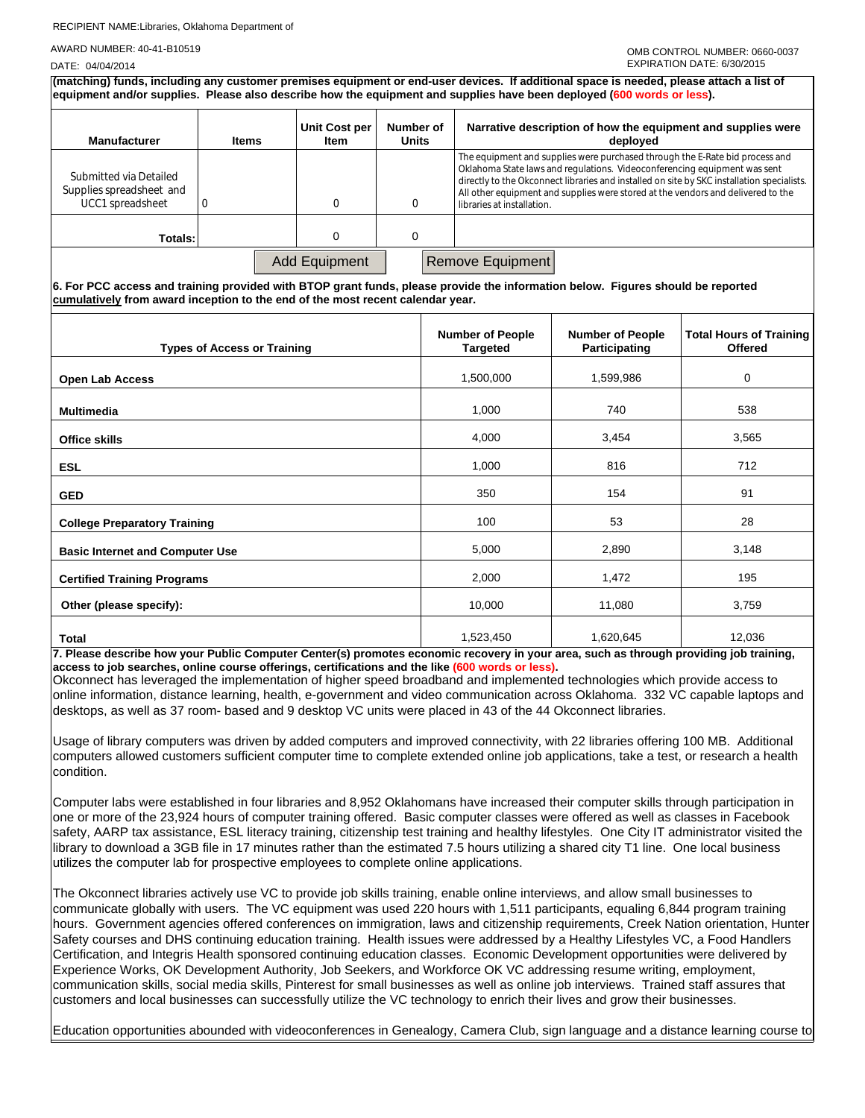## RECIPIENT NAME:Libraries, Oklahoma Department of

AWARD NUMBER: 40-41-B10519

| DATE: 04/04/2014                                                                                                                                                                                                                                                  |                                    |                       |                           |                                            |                                                                                                                                                                                                                                               | EXPIRATION DATE: 6/30/2015                                                                 |
|-------------------------------------------------------------------------------------------------------------------------------------------------------------------------------------------------------------------------------------------------------------------|------------------------------------|-----------------------|---------------------------|--------------------------------------------|-----------------------------------------------------------------------------------------------------------------------------------------------------------------------------------------------------------------------------------------------|--------------------------------------------------------------------------------------------|
| (matching) funds, including any customer premises equipment or end-user devices. If additional space is needed, please attach a list of<br>equipment and/or supplies. Please also describe how the equipment and supplies have been deployed (600 words or less). |                                    |                       |                           |                                            |                                                                                                                                                                                                                                               |                                                                                            |
| <b>Manufacturer</b>                                                                                                                                                                                                                                               | <b>Items</b>                       | Unit Cost per<br>Item | Number of<br><b>Units</b> |                                            | Narrative description of how the equipment and supplies were<br>deployed                                                                                                                                                                      |                                                                                            |
| Submitted via Detailed<br>Supplies spreadsheet and<br>UCC1 spreadsheet                                                                                                                                                                                            | $\Omega$                           | 0                     | 0                         | libraries at installation.                 | The equipment and supplies were purchased through the E-Rate bid process and<br>Oklahoma State laws and regulations. Videoconferencing equipment was sent<br>All other equipment and supplies were stored at the vendors and delivered to the | directly to the Okconnect libraries and installed on site by SKC installation specialists. |
| Totals:                                                                                                                                                                                                                                                           |                                    | 0                     | 0                         |                                            |                                                                                                                                                                                                                                               |                                                                                            |
| 6. For PCC access and training provided with BTOP grant funds, please provide the information below. Figures should be reported<br>cumulatively from award inception to the end of the most recent calendar year.                                                 |                                    | Add Equipment         |                           | Remove Equipment                           |                                                                                                                                                                                                                                               |                                                                                            |
|                                                                                                                                                                                                                                                                   | <b>Types of Access or Training</b> |                       |                           | <b>Number of People</b><br><b>Targeted</b> | <b>Number of People</b><br>Participating                                                                                                                                                                                                      | <b>Total Hours of Training</b><br><b>Offered</b>                                           |

| <b>Types of Access or Training</b>                                                  | <b>Targeted</b>                                           | Participating | <b>Offered</b>                                                      |
|-------------------------------------------------------------------------------------|-----------------------------------------------------------|---------------|---------------------------------------------------------------------|
| <b>Open Lab Access</b>                                                              | 1,500,000                                                 | 1,599,986     | 0                                                                   |
| <b>Multimedia</b>                                                                   | 1,000                                                     | 740           | 538                                                                 |
| <b>Office skills</b>                                                                | 4,000                                                     | 3,454         | 3,565                                                               |
| <b>ESL</b>                                                                          | 1,000                                                     | 816           | 712                                                                 |
| <b>GED</b>                                                                          | 350                                                       | 154           | 91                                                                  |
| <b>College Preparatory Training</b>                                                 | 100                                                       | 53            | 28                                                                  |
| <b>Basic Internet and Computer Use</b>                                              | 5,000                                                     | 2,890         | 3,148                                                               |
| <b>Certified Training Programs</b>                                                  | 2,000                                                     | 1,472         | 195                                                                 |
| Other (please specify):                                                             | 10,000                                                    | 11,080        | 3,759                                                               |
| <b>Total</b><br>7. Disses describe hournour Dublie Commiter Center(s) memories seem | 1,523,450<br>المتحميم المروجون الموارد والمتحدث والمعالمة | 1,620,645     | 12,036<br>ومستلميه والمستقام والمستلم فالمستحدث والمستحدث والمستحدث |

**7. Please describe how your Public Computer Center(s) promotes economic recovery in your area, such as through providing job training, access to job searches, online course offerings, certifications and the like (600 words or less).**

Okconnect has leveraged the implementation of higher speed broadband and implemented technologies which provide access to online information, distance learning, health, e-government and video communication across Oklahoma. 332 VC capable laptops and desktops, as well as 37 room- based and 9 desktop VC units were placed in 43 of the 44 Okconnect libraries.

Usage of library computers was driven by added computers and improved connectivity, with 22 libraries offering 100 MB. Additional computers allowed customers sufficient computer time to complete extended online job applications, take a test, or research a health condition.

Computer labs were established in four libraries and 8,952 Oklahomans have increased their computer skills through participation in one or more of the 23,924 hours of computer training offered. Basic computer classes were offered as well as classes in Facebook safety, AARP tax assistance, ESL literacy training, citizenship test training and healthy lifestyles. One City IT administrator visited the library to download a 3GB file in 17 minutes rather than the estimated 7.5 hours utilizing a shared city T1 line. One local business utilizes the computer lab for prospective employees to complete online applications.

The Okconnect libraries actively use VC to provide job skills training, enable online interviews, and allow small businesses to communicate globally with users. The VC equipment was used 220 hours with 1,511 participants, equaling 6,844 program training hours. Government agencies offered conferences on immigration, laws and citizenship requirements, Creek Nation orientation, Hunter Safety courses and DHS continuing education training. Health issues were addressed by a Healthy Lifestyles VC, a Food Handlers Certification, and Integris Health sponsored continuing education classes. Economic Development opportunities were delivered by Experience Works, OK Development Authority, Job Seekers, and Workforce OK VC addressing resume writing, employment, communication skills, social media skills, Pinterest for small businesses as well as online job interviews. Trained staff assures that customers and local businesses can successfully utilize the VC technology to enrich their lives and grow their businesses.

Education opportunities abounded with videoconferences in Genealogy, Camera Club, sign language and a distance learning course to